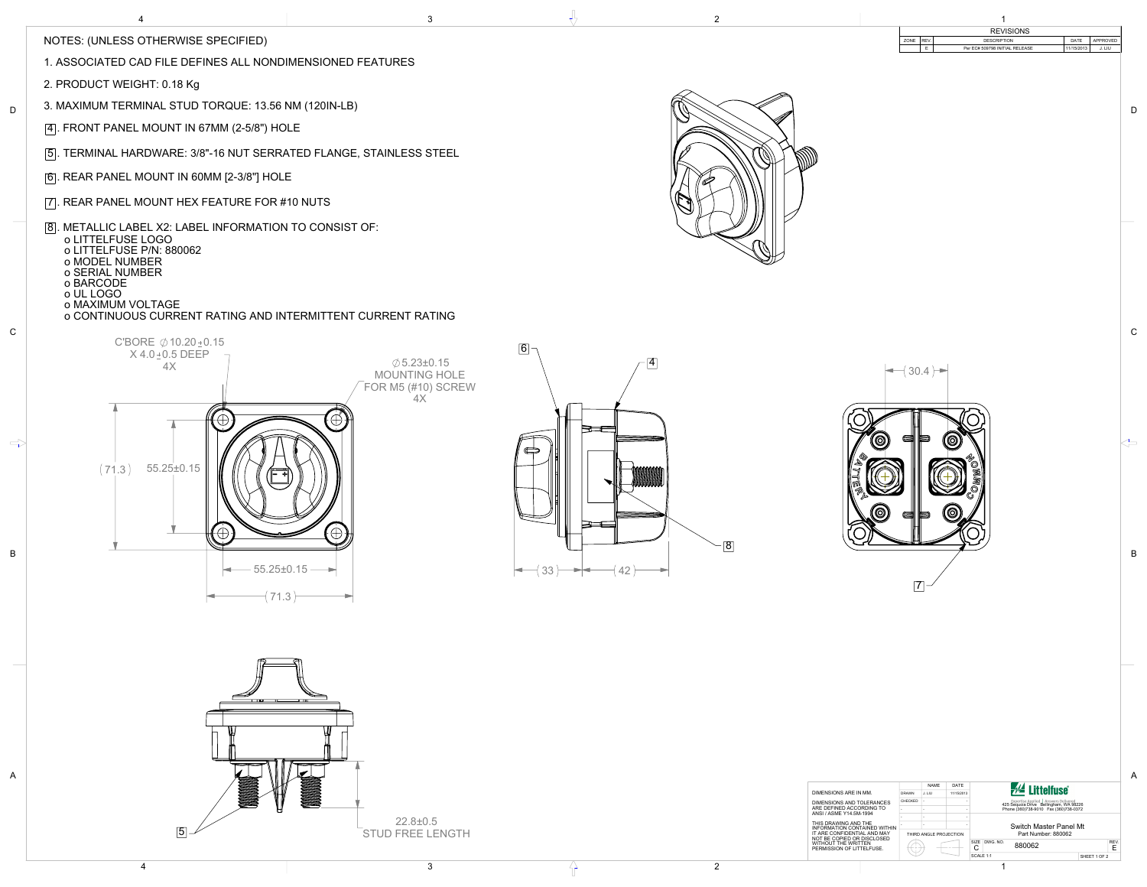A

B



C

 $\Rightarrow$ 

D

| <b>REVISIONS</b><br>REV.<br>APPROVED<br>ZONE<br><b>DESCRIPTION</b><br>DATE<br>$\mathsf E$<br>Per EC# 509798 INITIAL RELEASE<br>11/15/2013<br>J. LIU | $\mathsf D$  |
|-----------------------------------------------------------------------------------------------------------------------------------------------------|--------------|
|                                                                                                                                                     |              |
|                                                                                                                                                     |              |
|                                                                                                                                                     |              |
|                                                                                                                                                     | ${\bf C}$    |
| $-$ (30.4) $\rightarrow$<br>$\circledcirc$<br><b>O</b><br>€<br>∍<br><b>COMMON</b><br>D.<br>D<br>M<br>Ó<br>(©<br>⇛<br>E                              | $\leftarrow$ |
| $\boxed{8}$<br>$\vert 7 \vert$                                                                                                                      | $\, {\sf B}$ |
|                                                                                                                                                     |              |
|                                                                                                                                                     |              |
| <b>AL Littelfuse</b><br>NAME<br>DATE<br>DIMENSIONS ARE IN MM.<br>J. LIU<br>DRAWN<br>11/15/2013                                                      | $\mathsf{A}$ |

| DIMENSIONS ARE IN MM.                                                                                                                                                                                                               | <b>DRAWN</b> | J. LIU                 | 11/15/2013 | $\bar{r}^{\gamma}$ Litteriuse                                                                                                           |              |  |  |  |  |
|-------------------------------------------------------------------------------------------------------------------------------------------------------------------------------------------------------------------------------------|--------------|------------------------|------------|-----------------------------------------------------------------------------------------------------------------------------------------|--------------|--|--|--|--|
| DIMENSIONS AND TOLERANCES                                                                                                                                                                                                           | CHECKED      |                        |            | <b>Expertise Applied</b><br><b>Answers Delivered</b><br>425 Sequoia Drive Bellingham, WA 98226<br>Phone (360)738-9010 Fax (360)738-0372 |              |  |  |  |  |
| ARE DEFINED ACCORDING TO<br>ANSI / ASME Y14.5M-1994<br>THIS DRAWING AND THE<br>INFORMATION CONTAINED WITHIN<br>IT ARE CONFIDENTIAL AND MAY<br>NOT BE COPIED OR DISCLOSED<br><b>WITHOUT THE WRITTEN</b><br>PERMISSION OF LITTELFUSE. |              |                        |            |                                                                                                                                         |              |  |  |  |  |
|                                                                                                                                                                                                                                     |              |                        |            |                                                                                                                                         |              |  |  |  |  |
|                                                                                                                                                                                                                                     |              |                        |            | Switch Master Panel Mt<br>Part Number: 880062                                                                                           |              |  |  |  |  |
|                                                                                                                                                                                                                                     |              | THIRD ANGLE PROJECTION |            |                                                                                                                                         |              |  |  |  |  |
|                                                                                                                                                                                                                                     |              |                        |            | SIZE<br>DWG, NO.<br>880062<br>U                                                                                                         | REV.<br>Е    |  |  |  |  |
|                                                                                                                                                                                                                                     |              |                        |            | SCALE 1:1                                                                                                                               | SHEET 1 OF 2 |  |  |  |  |